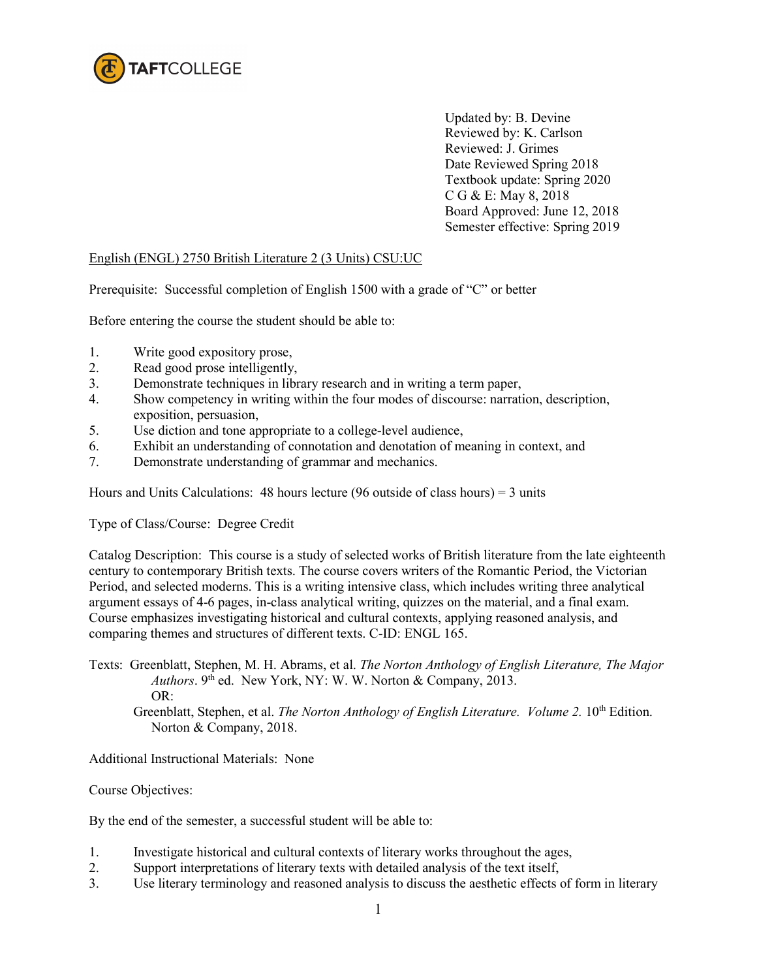

Updated by: B. Devine Reviewed by: K. Carlson Reviewed: J. Grimes Date Reviewed Spring 2018 Textbook update: Spring 2020 C G & E: May 8, 2018 Board Approved: June 12, 2018 Semester effective: Spring 2019

## English (ENGL) 2750 British Literature 2 (3 Units) CSU:UC

Prerequisite: Successful completion of English 1500 with a grade of "C" or better

Before entering the course the student should be able to:

- 1. Write good expository prose,
- 2. Read good prose intelligently,
- 3. Demonstrate techniques in library research and in writing a term paper,
- 4. Show competency in writing within the four modes of discourse: narration, description, exposition, persuasion,
- 5. Use diction and tone appropriate to a college-level audience,
- 6. Exhibit an understanding of connotation and denotation of meaning in context, and
- 7. Demonstrate understanding of grammar and mechanics.

Hours and Units Calculations: 48 hours lecture (96 outside of class hours) = 3 units

Type of Class/Course: Degree Credit

Catalog Description: This course is a study of selected works of British literature from the late eighteenth century to contemporary British texts. The course covers writers of the Romantic Period, the Victorian Period, and selected moderns. This is a writing intensive class, which includes writing three analytical argument essays of 4-6 pages, in-class analytical writing, quizzes on the material, and a final exam. Course emphasizes investigating historical and cultural contexts, applying reasoned analysis, and comparing themes and structures of different texts. C-ID: ENGL 165.

Texts: Greenblatt, Stephen, M. H. Abrams, et al. *The Norton Anthology of English Literature, The Major Authors*. 9<sup>th</sup> ed. New York, NY: W. W. Norton & Company, 2013. OR:

Greenblatt, Stephen, et al. *The Norton Anthology of English Literature. Volume 2.* 10<sup>th</sup> Edition. Norton & Company, 2018.

Additional Instructional Materials: None

Course Objectives:

By the end of the semester, a successful student will be able to:

- 1. Investigate historical and cultural contexts of literary works throughout the ages,
- 2. Support interpretations of literary texts with detailed analysis of the text itself,
- 3. Use literary terminology and reasoned analysis to discuss the aesthetic effects of form in literary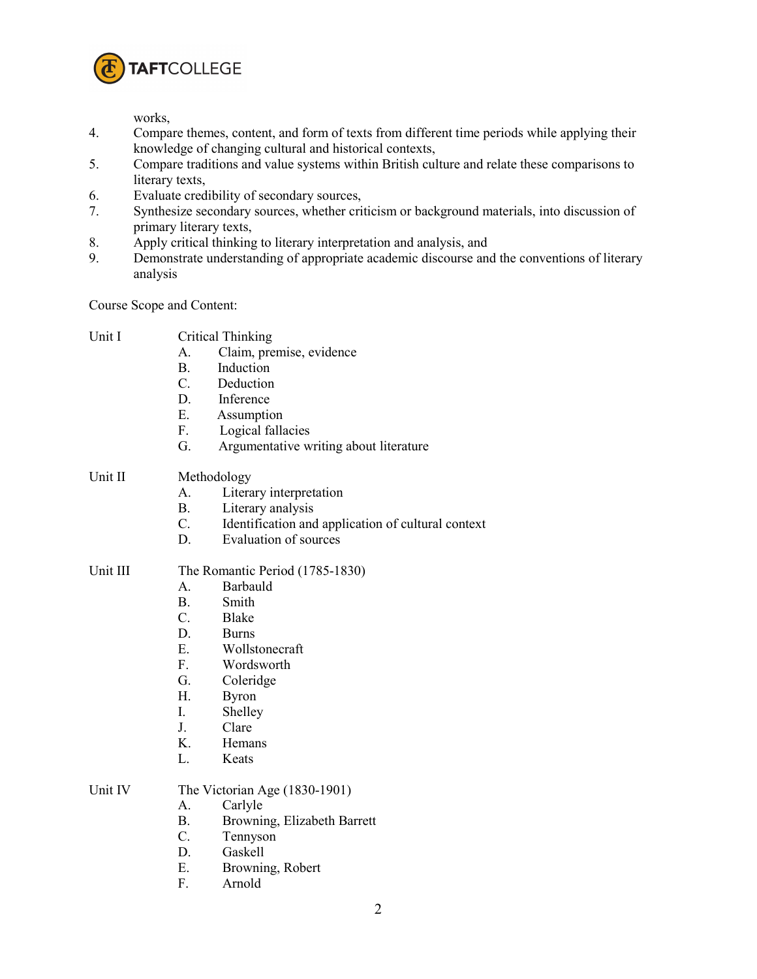

works,

- 4. Compare themes, content, and form of texts from different time periods while applying their knowledge of changing cultural and historical contexts,
- 5. Compare traditions and value systems within British culture and relate these comparisons to literary texts,
- 6. Evaluate credibility of secondary sources,
- 7. Synthesize secondary sources, whether criticism or background materials, into discussion of primary literary texts,
- 8. Apply critical thinking to literary interpretation and analysis, and
- 9. Demonstrate understanding of appropriate academic discourse and the conventions of literary analysis

Course Scope and Content:

- A. Claim, premise, evidence
- B. Induction
- C. Deduction
- D. Inference
- 
- E. Assumption<br>F. Logical falls Logical fallacies
- G. Argumentative writing about literature

## Unit II Methodology

- A. Literary interpretation
- B. Literary analysis
- C. Identification and application of cultural context
- D. Evaluation of sources

## Unit III The Romantic Period (1785-1830)

- A. Barbauld
- B. Smith
- C. Blake
- D. Burns
- E. Wollstonecraft
- F. Wordsworth
- G. Coleridge
- H. Byron
- I. Shelley
- J. Clare
- K. Hemans
- L. Keats

## Unit IV The Victorian Age (1830-1901)

- A. Carlyle
- B. Browning, Elizabeth Barrett
- C. Tennyson
- D. Gaskell
- E. Browning, Robert
- F. Arnold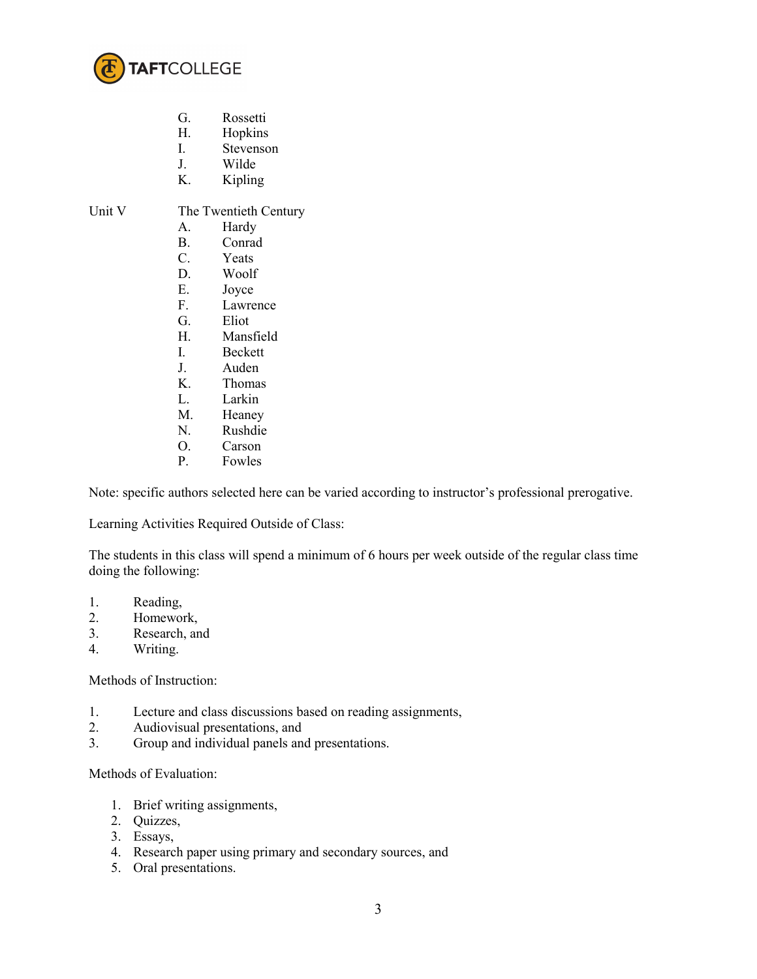

- G. Rossetti
- H. Hopkins
- I. Stevenson
- J. Wilde
- K. Kipling

Unit V The Twentieth Century

- A. Hardy
- B. Conrad
- C. Yeats
- D. Woolf
- E. Joyce
- F. Lawrence
- G. Eliot
- H. Mansfield
- I. Beckett
- J. Auden
- K. Thomas
- L. Larkin
- M. Heaney
- N. Rushdie
- O. Carson
- P. Fowles

Note: specific authors selected here can be varied according to instructor's professional prerogative.

Learning Activities Required Outside of Class:

The students in this class will spend a minimum of 6 hours per week outside of the regular class time doing the following:

- 1. Reading,
- 2. Homework,
- 3. Research, and
- 4. Writing.

Methods of Instruction:

- 1. Lecture and class discussions based on reading assignments,
- 2. Audiovisual presentations, and
- 3. Group and individual panels and presentations.

Methods of Evaluation:

- 1. Brief writing assignments,
- 2. Quizzes,
- 3. Essays,
- 4. Research paper using primary and secondary sources, and
- 5. Oral presentations.